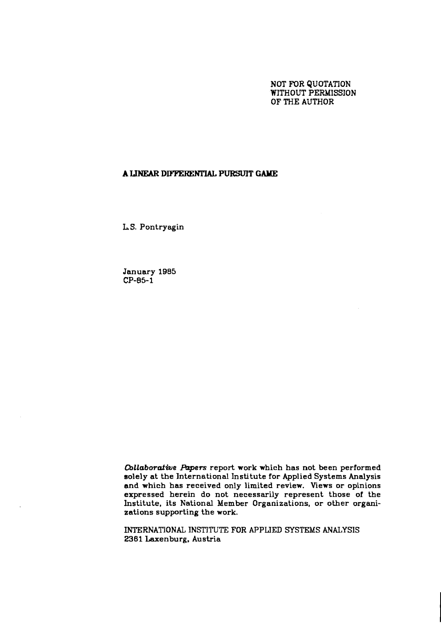### NOT FOR QUOTATION WITHOUT PERMISSION OF THE AUTHOR

## **A LINEAR DIFFXIENTIAL PURSUIT** *GAYIE*

**L** S. Pontryagin

January **1985**   $CP-85-1$ 

*Cbllaborafwe Papers* report work which has not been performed solely at the International Institute for Applied Systems Analysis and which has received only limited review. Views or opinions expressed herein do not necessarily represent those of the Institute, its National Member Organizations, or other organizations supporting the work.

INTERNATIONAL INSTITUTE FOR APPLJED SYSTEMS ANALYSIS 2361 Laxenburg. Austria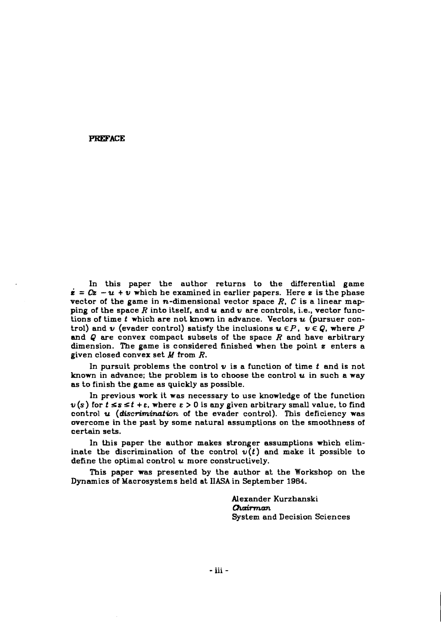#### **PREFACE**

In this paper the author returns to the differential game  $\dot{\mathbf{z}} = C\mathbf{z} - \mathbf{u} + \mathbf{v}$  which he examined in earlier papers. Here  $\mathbf{z}$  is the phase vector of the game in  $n$ -dimensional vector space  $R$ ,  $C$  is a linear mapping of the space R into itself, and  $u$  and  $v$  are controls, i.e., vector functions of time  $t$  which are not known in advance. Vectors  $u$  (pursuer control) and **v** (evader control) satisfy the inclusions  $u \in P$ ,  $v \in Q$ , where P and  $Q$  are convex compact subsets of the space  $R$  and have arbitrary dimension. The game is considered finished when the point **s** enters a given closed convex set **M** from R.

In pursuit problems the control  $v$  is a function of time  $t$  and is not known in advance; the problem is to choose the control  $u$  in such a way as to finish the game as quickly as possible.

In previous work it was necessary to use knowledge of the function  $v(s)$  for  $t \leq s \leq t + \varepsilon$ , where  $\varepsilon > 0$  is any given arbitrary small value, to find control  $u$  (discrimination of the evader control). This deficiency was overcome in the past by some natural assumptions on the smoothness of certain sets.

In this paper the author makes stronger assumptions which eliminate the discrimination of the control  $v(t)$  and make it possible to define the optimal control  $u$  more constructively.

This paper was presented by the author at the Workshop on the Dynamics of Macrosystems held at IIASA in September **1984.** 

> Alexander Kurzhanski **Qrdmm**  System and Decision Sciences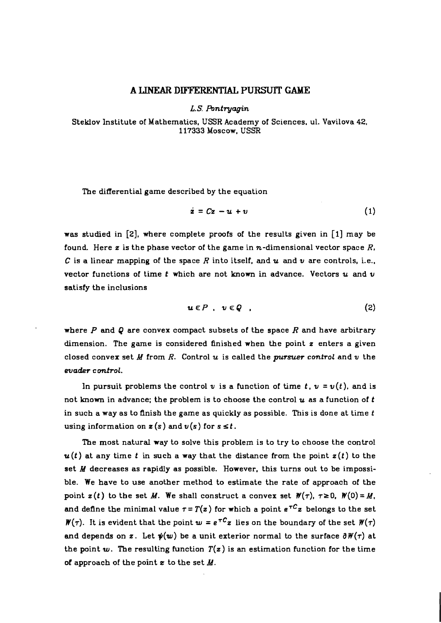# **A LINEAR DIFFERENTIAL PURSUlT GAME**

**L.S. Pontryagin** 

Steklov Institute of Mathematics, **USSR** Academy of Sciences. ul. Vavilova **42, 117333** Moscow, **USSR** 

The differential game described by the equation

$$
\dot{\mathbf{z}} = C\mathbf{z} - \mathbf{u} + \mathbf{v} \tag{1}
$$

was studied in **[2],** where complete proofs of the results given in **[I]** may be found. Here  $\boldsymbol{z}$  is the phase vector of the game in  $\boldsymbol{n}$ -dimensional vector space  $R$ , **C** is a linear mapping of the space R into itself, and **u** and **v** are controls, i.e., vector functions of time  $t$  which are not known in advance. Vectors  $u$  and  $v$ satisfy the inclusions

$$
u \in P , v \in Q , \qquad (2)
$$

where P and Q are convex compact subsets of the space R and have arbitrary dimension. The game is considered finished when the point **z** enters a given closed convex set **Y** from R. Control u is called the **pursuer** *control* and **v** the  $e$ *vader control.* 

In pursuit problems the control v is a function of time  $t$ ,  $v = v(t)$ , and is not known in advance; the problem is to choose the control **u** as a function of **t**  in such a way as to finish the game as quickly as possible. This is done at time **t**  using information on  $z(s)$  and  $v(s)$  for  $s \leq t$ .

The most natural way to solve this problem is to try to choose the control  $u(t)$  at any time t in such a way that the distance from the point  $z(t)$  to the set **M** decreases as rapidly as possible. However, this turns out to be impossible. We have to use another method to estimate the rate of approach of the point  $z(t)$  to the set M. We shall construct a convex set  $W(\tau)$ ,  $\tau \ge 0$ ,  $W(0) = M$ , and define the minimal value  $\tau = T(z)$  for which a point  $e^{\tau C}z$  belongs to the set  $W(\tau)$ . It is evident that the point  $w = e^{\tau C}z$  lies on the boundary of the set  $W(\tau)$ and depends on **z**. Let  $\psi(w)$  be a unit exterior normal to the surface  $\partial W(\tau)$  at the point  $w$ . The resulting function  $T(z)$  is an estimation function for the time of approach of the point **z** to the set M.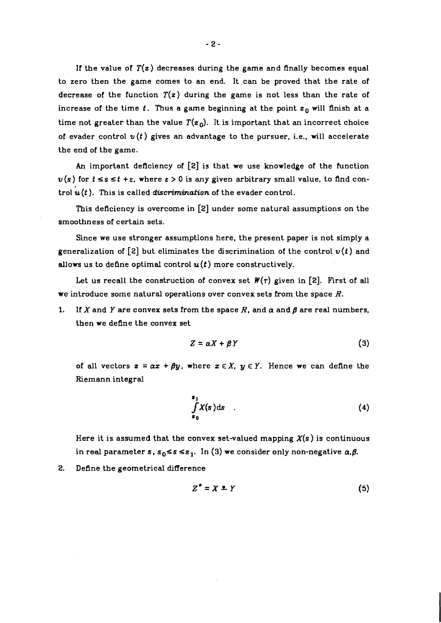If the value of  $T(z)$  decreases during the game and finally becomes equal to zero then the game comes to an end. It can be proved that the rate of decrease of the function  $T(z)$  during the game is not less than the rate of increase of the time  $t$ . Thus a game beginning at the point  $z_0$  will finish at a time not greater than the value  $T(z_0)$ . It is important that an incorrect choice of evader control  $v(t)$  gives an advantage to the pursuer, i.e., will accelerate the end of the game.

An important deficiency of **[2]** is that we use knowledge of the function  $u(s)$  for  $t \leq s \leq t + \varepsilon$ , where  $\varepsilon > 0$  is any given arbitrary small value, to find control *u(t).* This is called *discrimination* of the evader control.

This deficiency is overcome in **[2]** under some natural assumptions on the smoothness of certain sets.

Since we use stronger assumptions here, the present paper is not simply a generalization of **[2]** but eliminates the discrimination of the control *u(t)* and allows us to define optimal control  $u(t)$  more constructively.

Let us recall the construction of convex set  $W(\tau)$  given in [2]. First of all we introduce some natural operations over convex sets from the space  $R$ .

1. If X and Y are convex sets from the space R, and  $\alpha$  and  $\beta$  are real numbers, then we define the convex set

$$
Z = \alpha X + \beta Y \tag{3}
$$

of all vectors  $z = \alpha x + \beta y$ , where  $x \in X$ ,  $y \in Y$ . Hence we can define the Riemann integral

$$
\int_{s_0}^{s_1} X(s) \, \mathrm{d}s \tag{4}
$$

Here it is assumed that the convex set-valued mapping  $X(s)$  is continuous in real parameter *s*,  $s_0 \le s \le s_1$ . In (3) we consider only non-negative  $\alpha, \beta$ .

**2.** Define the geometrical difference

$$
Z^* = X \perp Y \tag{5}
$$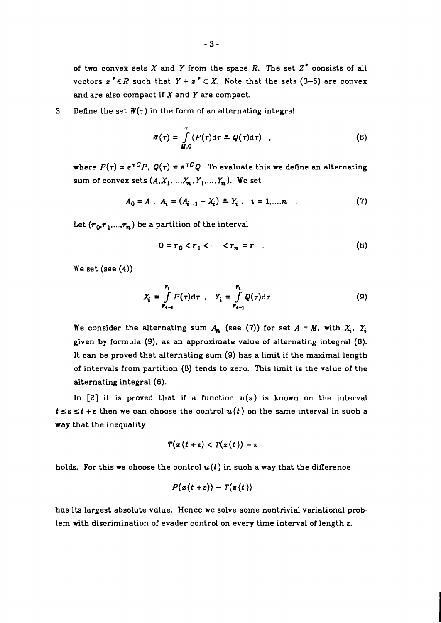of two convex sets X and Y from the space R. The set  $Z^*$  consists of all vectors  $z^* \in R$  such that  $Y + z^* \subset X$ . Note that the sets (3-5) are convex and are also compact if  $X$  and  $Y$  are compact.

## **3.** Define the set  $W(\tau)$  in the form of an alternating integral

$$
W(\tau) = \int_{\tilde{M},0}^{T} (P(\tau) d\tau \triangleq Q(\tau) d\tau) \quad . \tag{6}
$$

where  $P(\tau) = e^{\tau C} P$ ,  $Q(\tau) = e^{\tau C} Q$ . To evaluate this we define an alternating sum of convex sets  $(A, X_1, \ldots, X_n, Y_1, \ldots, Y_n)$ . We set

$$
A_0 = A , A_i = (A_{i-1} + X_i) = Y_i , i = 1,...,n
$$
 (7)

Let  $(r_0,r_1,...,r_n)$  be a partition of the interval

$$
0 = r_0 < r_1 < \cdots < r_n = r \tag{8}
$$

We set  $(see (4))$ 

$$
X_i = \int\limits_{r_{i-1}}^{r_i} P(\tau) d\tau \quad , \quad Y_i = \int\limits_{r_{i-1}}^{r_i} Q(\tau) d\tau \quad . \tag{9}
$$

We consider the alternating sum  $A_n$  (see (7)) for set  $A = M$ , with  $X_i$ ,  $Y_i$ given by formula (9), as an approximate value of alternating integral (6). It can be proved that alternating sum (9) has a limit if the maximal length of intervals from partition (8) tends to zero. This limit is the value of the alternating integral (6).

In [2] it is proved that if a function  $v(s)$  is known on the interval  $t \leq s \leq t + \varepsilon$  then we can choose the control  $u(t)$  on the same interval in such a way that the inequality

$$
T(z(t+\varepsilon) < T(z(t)) - \varepsilon)
$$

holds. For this we choose the control  $u(t)$  in such a way that the difference

$$
P(z(t+\varepsilon)) - T(z(t))
$$

has its largest absolute value. Hence we solve some nontrivial variational problem with discrimination of evader control on every time interval of length **E.**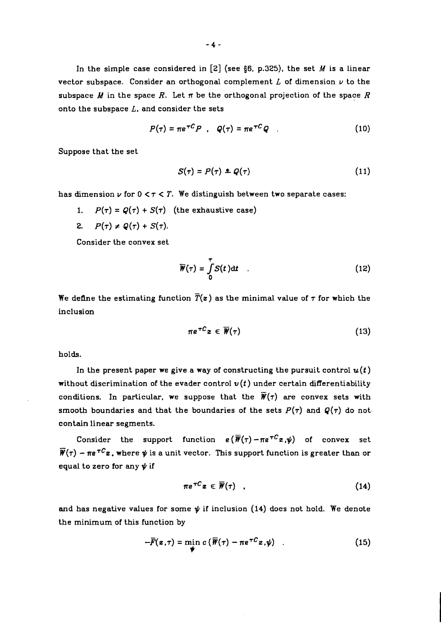In the simple case considered in  $[2]$  (see §6, p.325), the set *M* is a linear vector subspace. Consider an orthogonal complement  $L$  of dimension  $\nu$  to the subspace  $M$  in the space  $R$ . Let  $\pi$  be the orthogonal projection of the space  $R$ onto the subspace  $L$ , and consider the sets

$$
P(\tau) = \pi e^{\tau C} P \quad , \quad Q(\tau) = \pi e^{\tau C} Q \quad . \tag{10}
$$

Suppose that the set

$$
S(\tau) = P(\tau) \triangleq Q(\tau) \tag{11}
$$

has dimension  $\nu$  for  $0 < \tau < T$ . We distinguish between two separate cases:

- 1.  $P(\tau) = Q(\tau) + S(\tau)$  (the exhaustive case)
- 2.  $P(\tau) \neq Q(\tau) + S(\tau)$ .

Consider the convex set

$$
\overline{W}(\tau) = \int_{0}^{\tau} S(t) dt \qquad (12)
$$

We define the estimating function  $\overline{T}(z)$  as the minimal value of  $\tau$  for which the inclusion

$$
\pi e^{\tau C} z \in \overline{\mathcal{W}}(\tau) \tag{13}
$$

holds.

In the present paper we give a way of constructing the pursuit control  $u(t)$ without discrimination of the evader control  $v(t)$  under certain differentiability conditions. In particular, we suppose that the  $\overline{W}(\tau)$  are convex sets with smooth boundaries and that the boundaries of the sets  $P(\tau)$  and  $Q(\tau)$  do not contain linear segments.

Consider the support function  $e(\overline{W}(\tau)-\pi e^{\tau C}z,\psi)$  of convex set Consider the support function  $\mathbf{e}(\overline{\mathbf{\mathcal{W}}}(\tau) - \pi \mathbf{e}^{\tau C} \mathbf{z}, \psi)$  of convex set  $\overline{\mathbf{\mathcal{W}}}(\tau) - \pi \mathbf{e}^{\tau C} \mathbf{z}$ , where  $\psi$  is a unit vector. This support function is greater than or equal to zero for any  $\psi$  if

$$
\pi e^{\tau C} z \in \overline{\mathcal{W}}(\tau) \quad . \tag{14}
$$

and has negative values for some  $\psi$  if inclusion (14) does not hold. We denote the minimum of this function by

$$
-\overline{F}(\mathbf{z},\tau) = \min_{\boldsymbol{\psi}} c \left( \overline{\mathbf{W}}(\tau) - \pi e^{\tau C} \mathbf{z}, \boldsymbol{\psi} \right) \quad . \tag{15}
$$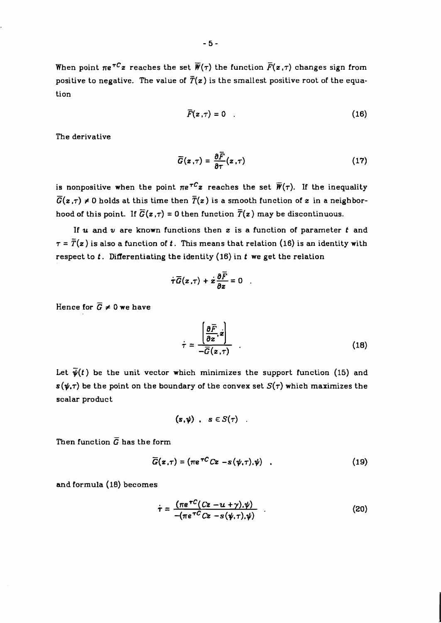$-5-$ 

When point  $\pi e^{\tau C}z$  reaches the set  $\overline{\mathbf{F}}(\tau)$  the function  $\overline{F}(z,\tau)$  changes sign from positive to negative. The value of  $\overline{T}(z)$  is the smallest positive root of the equation

$$
\overline{F}(\mathbf{z},\tau)=0\tag{16}
$$

The derivative

$$
\overline{G}(z,\tau) = \frac{\partial \overline{F}}{\partial \tau}(z,\tau) \tag{17}
$$

is nonpositive when the point  $\pi e^{\tau C}z$  reaches the set  $\overline{W}(\tau)$ . If the inequality  $\overline{G}(z, \tau) \neq 0$  holds at this time then  $\overline{T}(z)$  is a smooth function of z in a neighborhood of this point. If  $\overline{G}(z, \tau) = 0$  then function  $\overline{T}(z)$  may be discontinuous.

If **u** and v are known functions then *z* is a function of parameter *t* and  $\tau = \overline{T}(z)$  is also a function of *t*. This means that relation (16) is an identity with respect to *t.* Differentiating the identity *(16)* in *t* we get the relation

$$
\dot{\tau}\overline{G}(z,\tau)+\dot{z}\frac{\partial \overline{F}}{\partial z}=0
$$

Hence for  $\overline{G} \neq 0$  we have

$$
\dot{\tau} = \frac{\left[\frac{\partial \overline{F}}{\partial z}, z\right]}{-\overline{G}(z, \tau)} \tag{18}
$$

Let  $\bar{\psi}(t)$  be the unit vector which minimizes the support function (15) and  $s(\psi, \tau)$  be the point on the boundary of the convex set  $S(\tau)$  which maximizes the scalar product

$$
(s,\psi) , s \in S(\tau) .
$$

Then function  $\overline{G}$  has the form

$$
\overline{G}(z,\tau) = (\pi e^{\tau C} C z - s(\psi,\tau),\psi) \quad . \tag{19}
$$

and formula **(18)** becomes

$$
\dot{\tau} = \frac{(\pi e^{\tau C} (Cz - u + \gamma), \psi)}{-(\pi e^{\tau C} Cz - s(\psi, \tau), \psi)} \tag{20}
$$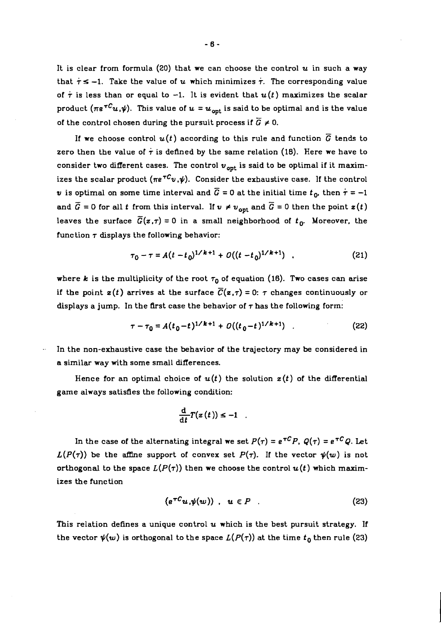It is clear from formula *(20)* that we can choose the control *u* in such a way that  $\tau \le -1$ . Take the value of *u* which minimizes  $\tau$ . The corresponding value of  $\tau$  is less than or equal to -1. It is evident that  $u(t)$  maximizes the scalar product  $(\pi e^{\tau C}u,\psi)$ . This value of  $u = u_{opt}$  is said to be optimal and is the value of the control chosen during the pursuit process if  $\overline{G} \neq 0$ .

If we choose control  $u(t)$  according to this rule and function  $\overline{G}$  tends to zero then the value of  $\tau$  is defined by the same relation (18). Here we have to consider two different cases. The control  $v_{\text{ont}}$  is said to be optimal if it maximizes the scalar product  $(\pi e^{\tau C}v,\psi)$ . Consider the exhaustive case. If the control v is optimal on some time interval and  $\overline{G} = 0$  at the initial time  $t_0$ , then  $\tau = -1$ and  $\tilde{G} = 0$  for all *t* from this interval. If  $v \neq v_{\text{opt}}$  and  $\tilde{G} = 0$  then the point  $z(t)$ leaves the surface  $\overline{G}(z,\tau) = 0$  in a small neighborhood of  $t_0$ . Moreover, the function  $\tau$  displays the following behavior:

$$
\tau_0 - \tau = A(t - t_0)^{1/k + 1} + O((t - t_0)^{1/k + 1}) \quad . \tag{21}
$$

where k is the multiplicity of the root  $\tau_0$  of equation (16). Two cases can arise if the point  $z(t)$  arrives at the surface  $\overline{C}(z,\tau) = 0$ :  $\tau$  changes continuously or displays a jump. In the first case the behavior of  $\tau$  has the following form:

$$
\tau - \tau_0 = A(t_0 - t)^{1/k + 1} + O((t_0 - t)^{1/k + 1}) \tag{22}
$$

In the non-exhaustive case the behavior of the trajectory may be considered in a similar way with some small differences.

Hence for an optimal choice of  $u(t)$  the solution  $z(t)$  of the differential game always satisfies the following condition:

$$
\frac{\mathrm{d}}{\mathrm{d}t}T(z(t))\leq -1
$$

In the case of the alternating integral we set  $P(\tau) = e^{\tau C} P$ ,  $Q(\tau) = e^{\tau C} Q$ . Let  $L(P(\tau))$  be the affine support of convex set  $P(\tau)$ . If the vector  $\psi(w)$  is not orthogonal to the space  $L(P(\tau))$  then we choose the control  $u(t)$  which maximizes the function

$$
(e^{\tau C}u,\psi(w)) , u \in P . \tag{23}
$$

This relation defines a unique control *u* which is the best pursuit strategy. If the vector  $\psi(w)$  is orthogonal to the space  $L(P(\tau))$  at the time  $t_0$  then rule (23)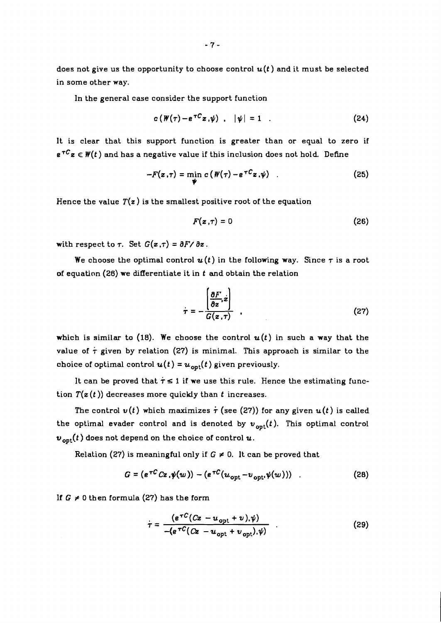does not give us the opportunity to choose control  $u(t)$  and it must be selected in some other way.

In the general case consider the support function

$$
c\left(\mathbf{W}(\tau)-e^{\tau C}\mathbf{z}\right)\mathbf{w}\right)\quad |\mathbf{w}|=1\quad .\tag{24}
$$

It is clear that this support function is greater than or equal to zero if  $e^{\tau C}z \in W(t)$  and has a negative value if this inclusion does not hold. Define

$$
-F(z,\tau) = \min_{\psi} c(\psi(\tau) - e^{\tau C}z.\psi) \qquad (25)
$$

Hence the value  $T(z)$  is the smallest positive root of the equation

$$
F(z,\tau)=0 \tag{26}
$$

with respect to  $\tau$ . Set  $G(z, \tau) = \partial F / \partial z$ .

We choose the optimal control  $u(t)$  in the following way. Since  $\tau$  is a root of equation *(26)* we differentiate it in *t* and obtain the relation

$$
\tau = -\frac{\left[\frac{\partial F}{\partial z}, z\right]}{G(z, \tau)} \tag{27}
$$

which is similar to  $(18)$ . We choose the control  $u(t)$  in such a way that the value of  $\tau$  given by relation (27) is minimal. This approach is similar to the choice of optimal control  $u(t) = u_{opt}(t)$  given previously.

It can be proved that  $\tau \leq 1$  if we use this rule. Hence the estimating function  $T(z(t))$  decreases more quickly than *t* increases.

The control  $v(t)$  which maximizes  $\tau$  (see (27)) for any given  $u(t)$  is called the optimal evader control and is denoted by  $v_{\text{opt}}(t)$ . This optimal control  $v_{\text{opt}}(t)$  does not depend on the choice of control  $u$ .

Relation (27) is meaningful only if  $G \neq 0$ . It can be proved that

$$
G = (e^{\tau C} Cz, \psi(w)) - (e^{\tau C} (u_{\text{opt}} - v_{\text{opt}}, \psi(w))) \tag{28}
$$

**If**  $G \neq 0$  then formula (27) has the form

$$
\tau = \frac{(e^{\tau C}(Cz - u_{\text{opt}} + v), \psi)}{-(e^{\tau C}(Cz - u_{\text{opt}} + v_{\text{opt}}), \psi)}
$$
(29)